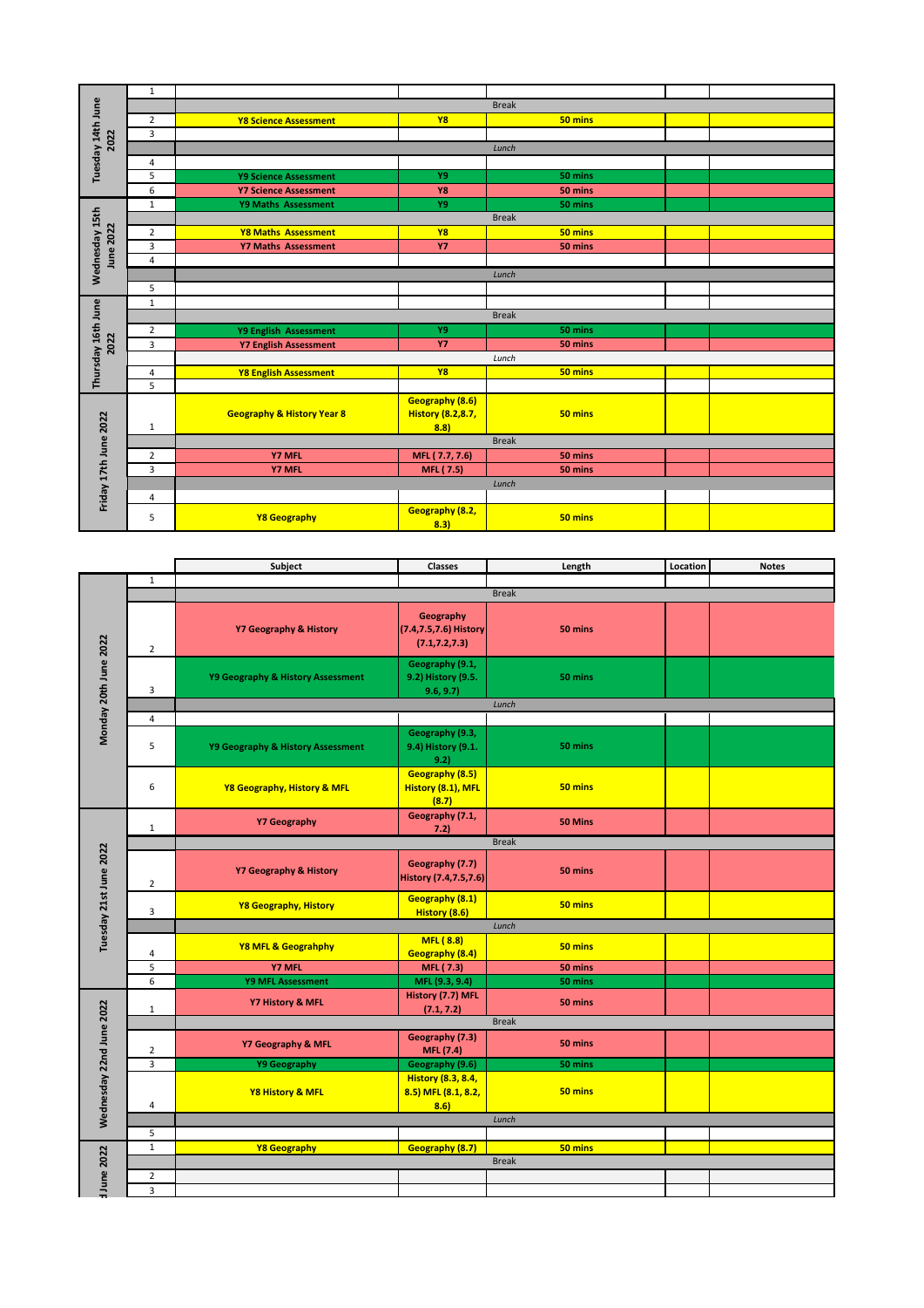| Tuesday 14th June<br>2022 | 1              |                                       |                          |         |  |  |  |
|---------------------------|----------------|---------------------------------------|--------------------------|---------|--|--|--|
|                           |                | <b>Break</b>                          |                          |         |  |  |  |
|                           | $\overline{2}$ | <b>Y8 Science Assessment</b>          | <b>Y8</b>                | 50 mins |  |  |  |
|                           | 3              |                                       |                          |         |  |  |  |
|                           |                | Lunch                                 |                          |         |  |  |  |
|                           | 4              |                                       |                          |         |  |  |  |
|                           | 5              | <b>Y9 Science Assessment</b>          | Y9                       | 50 mins |  |  |  |
|                           | 6              | <b>Y7 Science Assessment</b>          | Y8                       | 50 mins |  |  |  |
|                           | $\mathbf{1}$   | Y9 Maths Assessment                   | Y9                       | 50 mins |  |  |  |
| Wednesday 15th            |                | <b>Break</b>                          |                          |         |  |  |  |
|                           | $\overline{2}$ | <b>Y8 Maths Assessment</b>            | <b>Y8</b>                | 50 mins |  |  |  |
|                           | 3              | <b>Y7 Maths Assessment</b>            | <b>Y7</b>                | 50 mins |  |  |  |
| June 2022                 | 4              |                                       |                          |         |  |  |  |
|                           |                | Lunch                                 |                          |         |  |  |  |
|                           | 5              |                                       |                          |         |  |  |  |
|                           | $\mathbf{1}$   |                                       |                          |         |  |  |  |
| Thursday 16th June        |                | <b>Break</b>                          |                          |         |  |  |  |
|                           | $\overline{2}$ | Y9 English Assessment                 | Y9                       | 50 mins |  |  |  |
| 2022                      | 3              | <b>Y7 English Assessment</b>          | <b>Y7</b>                | 50 mins |  |  |  |
|                           |                | Lunch                                 |                          |         |  |  |  |
|                           | 4              | <b>Y8 English Assessment</b>          | <b>Y8</b>                | 50 mins |  |  |  |
|                           | 5              |                                       |                          |         |  |  |  |
| Friday 17th June 2022     |                |                                       | Geography (8.6)          |         |  |  |  |
|                           |                | <b>Geography &amp; History Year 8</b> | <b>History (8.2,8.7,</b> | 50 mins |  |  |  |
|                           | 1              |                                       | 8.8                      |         |  |  |  |
|                           |                | <b>Break</b>                          |                          |         |  |  |  |
|                           | $\overline{2}$ | <b>Y7 MFL</b>                         | MFL (7.7, 7.6)           | 50 mins |  |  |  |
|                           | 3              | <b>Y7 MFL</b>                         | MFL (7.5)                | 50 mins |  |  |  |
|                           |                | Lunch                                 |                          |         |  |  |  |
|                           | 4              |                                       |                          |         |  |  |  |
|                           | 5              | Y8 Geography                          | Geography (8.2,<br>8.3)  | 50 mins |  |  |  |

|                          |                | Subject                           | <b>Classes</b>                                           | Length       | Location | <b>Notes</b> |  |
|--------------------------|----------------|-----------------------------------|----------------------------------------------------------|--------------|----------|--------------|--|
| Monday 20th June 2022    | $\mathbf 1$    |                                   |                                                          |              |          |              |  |
|                          |                |                                   |                                                          | <b>Break</b> |          |              |  |
|                          | $\overline{2}$ | <b>Y7 Geography &amp; History</b> | Geography<br>(7.4,7.5,7.6) History<br>(7.1, 7.2, 7.3)    | 50 mins      |          |              |  |
|                          | 3              | Y9 Geography & History Assessment | Geography (9.1,<br>9.2) History (9.5.<br>9.6, 9.7)       | 50 mins      |          |              |  |
|                          |                |                                   |                                                          | Lunch        |          |              |  |
|                          | $\overline{4}$ |                                   |                                                          |              |          |              |  |
|                          | 5              | Y9 Geography & History Assessment | Geography (9.3,<br>9.4) History (9.1.<br>9.2)            | 50 mins      |          |              |  |
|                          | 6              | Y8 Geography, History & MFL       | Geography (8.5)<br>History (8.1), MFL<br>(8.7)           | 50 mins      |          |              |  |
|                          | $\mathbf{1}$   | <b>Y7 Geography</b>               | Geography (7.1,<br>7.2)                                  | 50 Mins      |          |              |  |
|                          |                |                                   |                                                          | <b>Break</b> |          |              |  |
| Tuesday 21st June 2022   | $\overline{2}$ | <b>Y7 Geography &amp; History</b> | Geography (7.7)<br>History (7.4,7.5,7.6)                 | 50 mins      |          |              |  |
|                          | $\overline{3}$ | Y8 Geography, History             | <b>Geography (8.1)</b><br>History (8.6)                  | 50 mins      |          |              |  |
|                          |                |                                   |                                                          | Lunch        |          |              |  |
|                          | 4              | Y8 MFL & Geograhphy               | MFL(8.8)<br>Geography (8.4)                              | 50 mins      |          |              |  |
|                          | 5              | Y7 MFL                            | MFL (7.3)                                                | 50 mins      |          |              |  |
|                          | 6              | Y9 MFL Assessment                 | MFL (9.3, 9.4)                                           | 50 mins      |          |              |  |
|                          | $\mathbf{1}$   | Y7 History & MFL                  | History (7.7) MFL<br>(7.1, 7.2)                          | 50 mins      |          |              |  |
|                          |                | <b>Break</b>                      |                                                          |              |          |              |  |
|                          | $\overline{2}$ | Y7 Geography & MFL                | Geography (7.3)<br><b>MFL</b> (7.4)                      | 50 mins      |          |              |  |
|                          | 3              | <b>Y9 Geography</b>               | Geography (9.6)                                          | 50 mins      |          |              |  |
| Wednesday 22nd June 2022 | 4              | Y8 History & MFL                  | <b>History (8.3, 8.4,</b><br>8.5) MFL (8.1, 8.2,<br>8.6) | 50 mins      |          |              |  |
|                          |                | Lunch                             |                                                          |              |          |              |  |
|                          | 5              |                                   |                                                          |              |          |              |  |
|                          | $\overline{1}$ | Y8 Geography                      | Geography (8.7)                                          | 50 mins      |          |              |  |
|                          |                | <b>Break</b>                      |                                                          |              |          |              |  |
| June 2022                | $\overline{2}$ |                                   |                                                          |              |          |              |  |
|                          | 3              |                                   |                                                          |              |          |              |  |
|                          |                |                                   |                                                          |              |          |              |  |